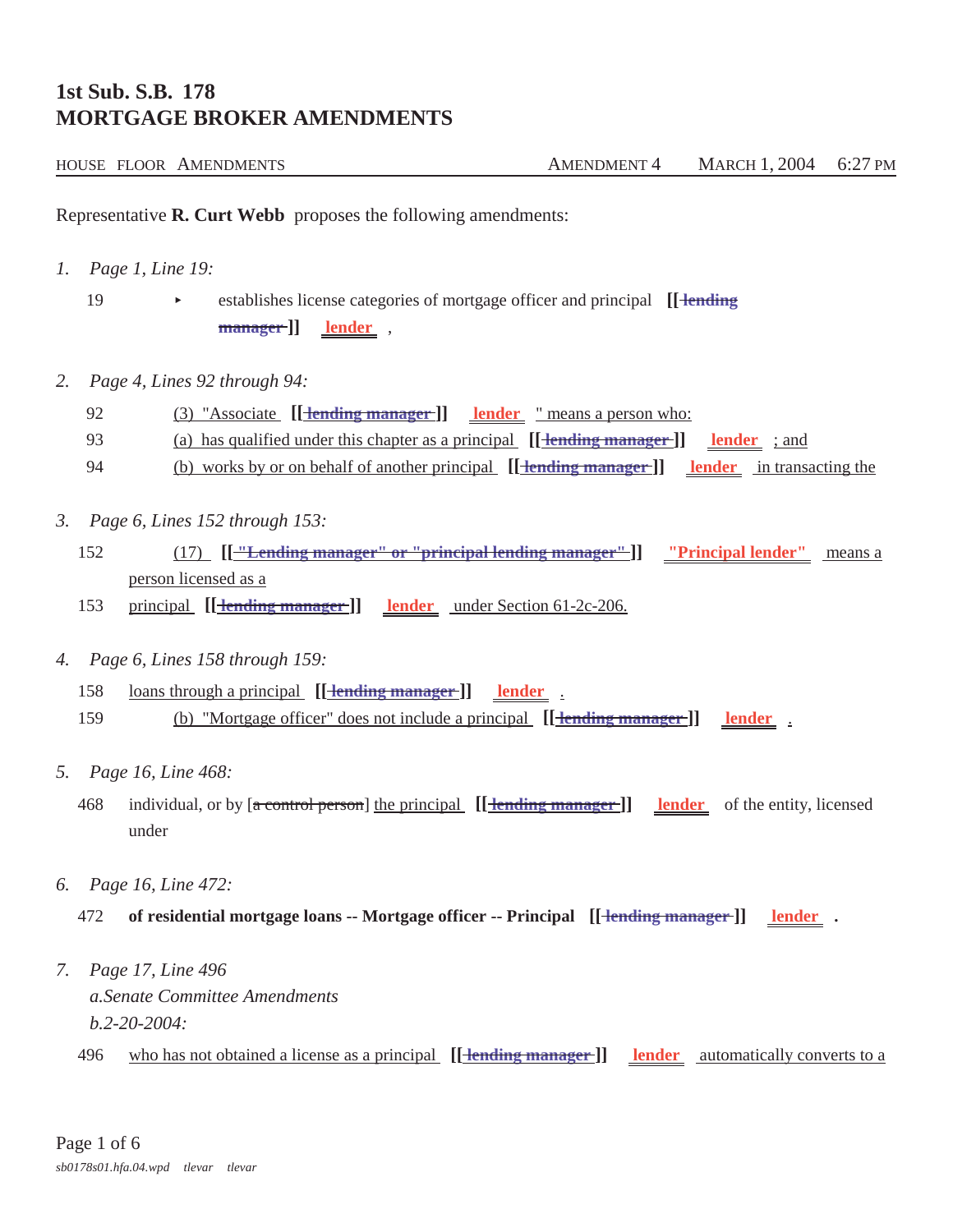## **1st Sub. S.B. 178 MORTGAGE BROKER AMENDMENTS**

| HOUSE FLOOR AMENDMENTS | <b>AMENDMENT 4</b> | MARCH 1, 2004 6:27 PM |  |
|------------------------|--------------------|-----------------------|--|
|                        |                    |                       |  |

Representative **R. Curt Webb** proposes the following amendments:

*1. Page 1, Line 19:*

19 establishes license categories of mortgage officer and principal [*[ lending*] **manager ]] lender** ,

- *2. Page 4, Lines 92 through 94:*
	- 92 (3) "Associate **[[ lending manager ]] lender** " means a person who:
	- 93 (a) has qualified under this chapter as a principal **[[ lending manager ]] lender** ; and
	- 94 (b) works by or on behalf of another principal **[[ lending manager ]] lender** in transacting the
- *3. Page 6, Lines 152 through 153:*
	- 152 (17) **[[ "Lending manager" or "principal lending manager" ]] "Principal lender"** means a person licensed as a
	- 153 principal **[[ lending manager ]] lender** under Section 61-2c-206.
- *4. Page 6, Lines 158 through 159:*
	- 158 loans through a principal **[[ lending manager ]] lender** .

159 (b) "Mortgage officer" does not include a principal **[[ lending manager ]] lender** .

- *5. Page 16, Line 468:*
	- 468 individual, or by [a control person] the principal **[[ lending manager ]] lender** of the entity, licensed under
- *6. Page 16, Line 472:*
	- 472 of residential mortgage loans -- Mortgage officer -- Principal [[ <del>lending manager</del> ]] lender .
- *7. Page 17, Line 496 a.Senate Committee Amendments b.2-20-2004:*
	- 496 who has not obtained a license as a principal **[[ lending manager ]] lender** automatically converts to a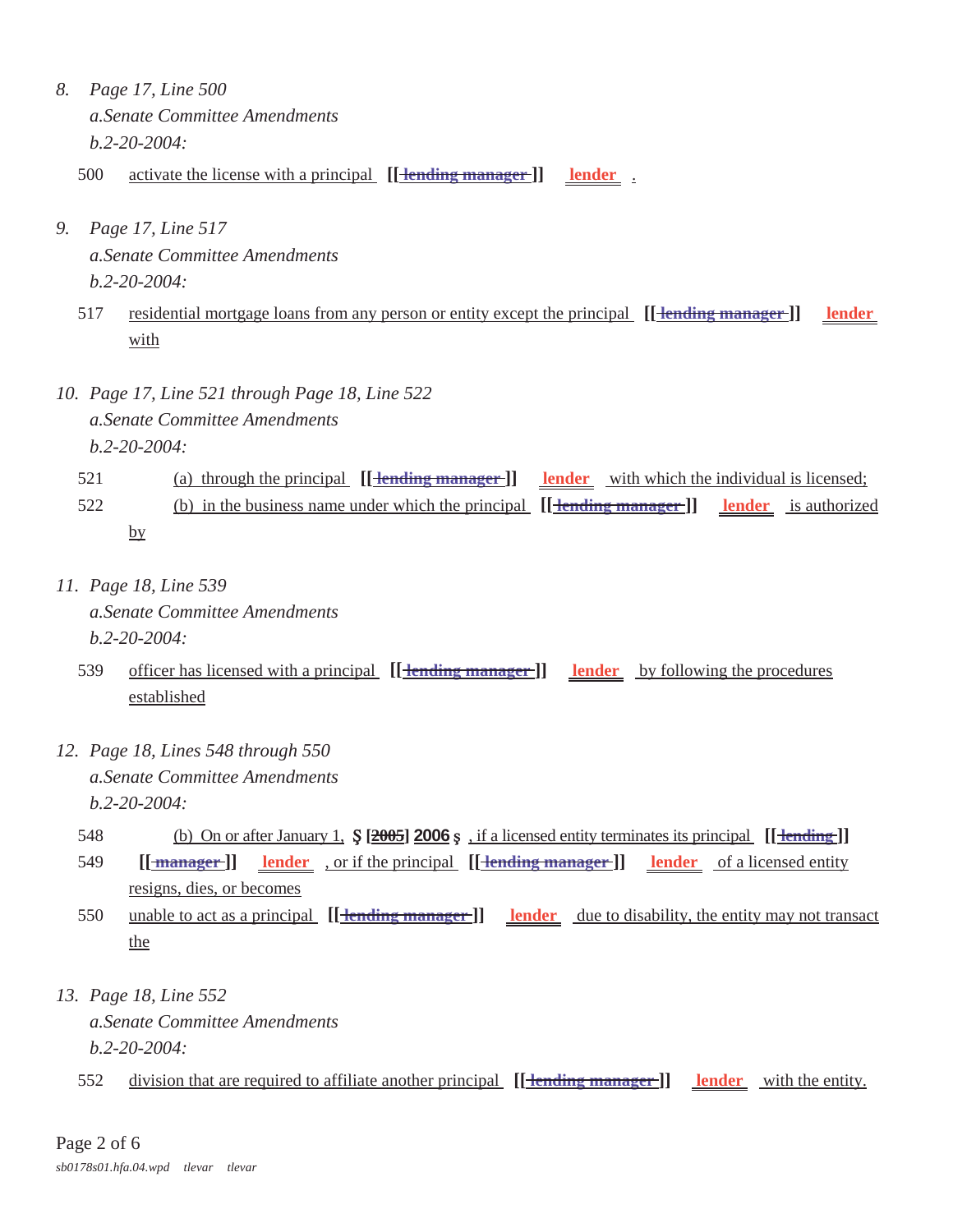- *8. Page 17, Line 500 a.Senate Committee Amendments b.2-20-2004:*
	- 500 activate the license with a principal [[**<u>lending manager</u>]]** lender
- *9. Page 17, Line 517 a.Senate Committee Amendments b.2-20-2004:*
	- 517 residential mortgage loans from any person or entity except the principal **[[ lending manager ]] lender**  with
- *10. Page 17, Line 521 through Page 18, Line 522 a.Senate Committee Amendments b.2-20-2004:*

## 521 (a) through the principal **[[ lending manager ]] lender** with which the individual is licensed; 522 (b) in the business name under which the principal **[[ lending manager ]] lender** is authorized by

- *11. Page 18, Line 539 a.Senate Committee Amendments b.2-20-2004:*
	- 539 officer has licensed with a principal **[[ lending manager ]] lender** by following the procedures established
- *12. Page 18, Lines 548 through 550 a.Senate Committee Amendments b.2-20-2004:*
	- 548 (b) On or after January 1,  $\oint$  [2005] **2006**  $\oint$ , if a licensed entity terminates its principal [[**Hending**]]
	- 549 **[[<u>manager</u>]] lender**, or if the principal **[[<del>lending manager</del>]] lender** of a licensed entity resigns, dies, or becomes
	- 550 unable to act as a principal **[[ lending manager ]] lender** due to disability, the entity may not transact the
- *13. Page 18, Line 552 a.Senate Committee Amendments b.2-20-2004:*
	- 552 division that are required to affiliate another principal [[**<del>lending manager</del>**]] **lender** with the entity.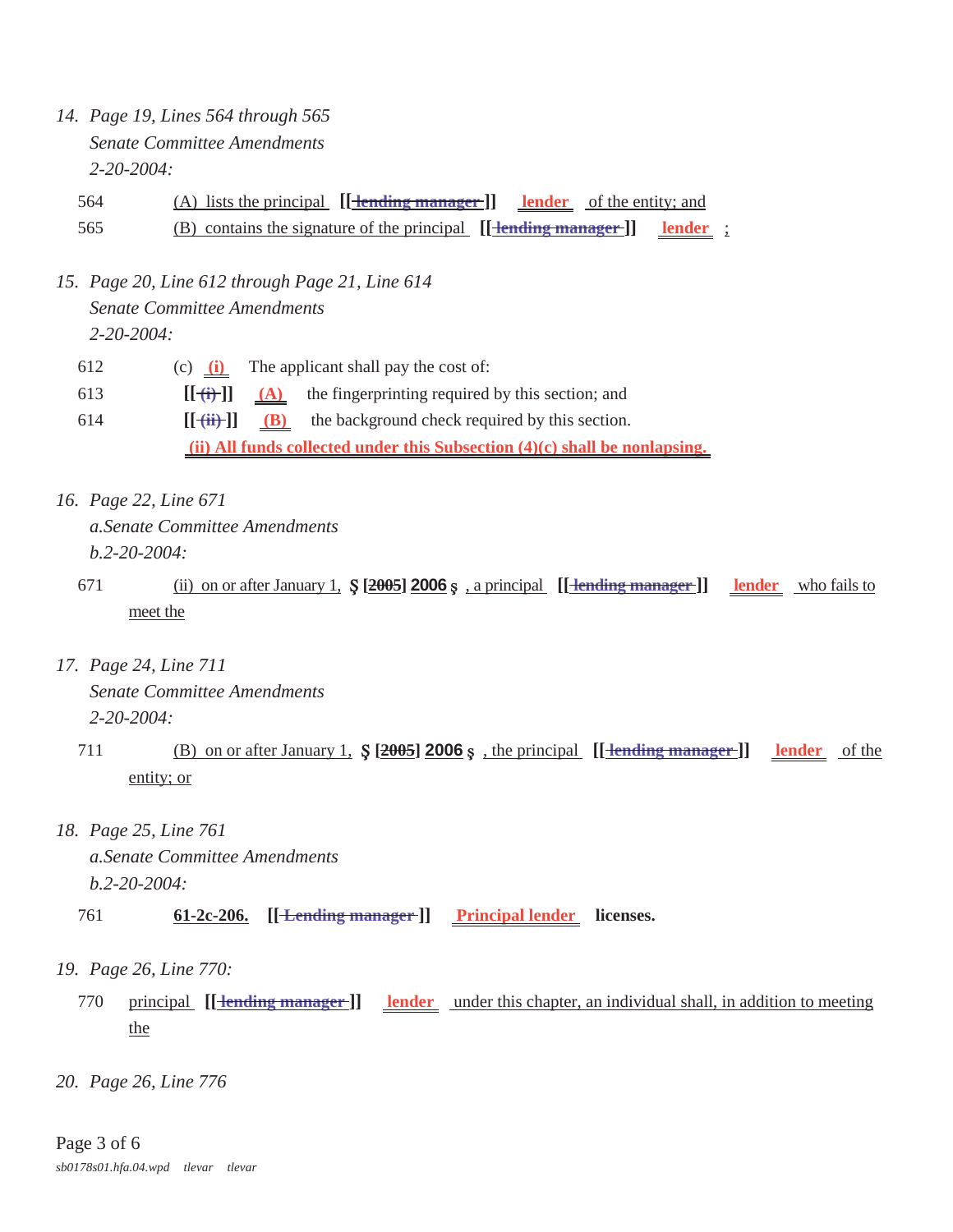*14. Page 19, Lines 564 through 565 Senate Committee Amendments 2-20-2004:*

564 (A) lists the principal **[[ lending manager ]] lender** of the entity; and 565 (B) contains the signature of the principal  $[[\text{tending manager}]]$  lender;

- *15. Page 20, Line 612 through Page 21, Line 614 Senate Committee Amendments 2-20-2004:*
	- 612 (c) **(i)** The applicant shall pay the cost of: 613  $\left[\left[\frac{+}{+}\right]\right]$  (A) the fingerprinting required by this section; and 614  $\left[\frac{1}{11}\right]$  (B) the background check required by this section.

 **(ii) All funds collected under this Subsection (4)(c) shall be nonlapsing.** 

- *16. Page 22, Line 671 a.Senate Committee Amendments b.2-20-2004:*
	- 671 (ii) on or after January 1,  $\frac{2005}{2006}$ , a principal [[**Hending manager**]] lender who fails to meet the
- *17. Page 24, Line 711 Senate Committee Amendments 2-20-2004:*
	- 711 (B) on or after January 1,  $\oint$   $[2005]$  **2006**  $\oint$ , the principal [[**Hending manager**]] lender of the entity; or
- *18. Page 25, Line 761 a.Senate Committee Amendments b.2-20-2004:*
	- 761 **61-2c-206.** [[<del>Lending manager]</del>] Principal lender licenses.
- *19. Page 26, Line 770:*
	- 770 principal **[[ lending manager ]] lender** under this chapter, an individual shall, in addition to meeting the
- *20. Page 26, Line 776*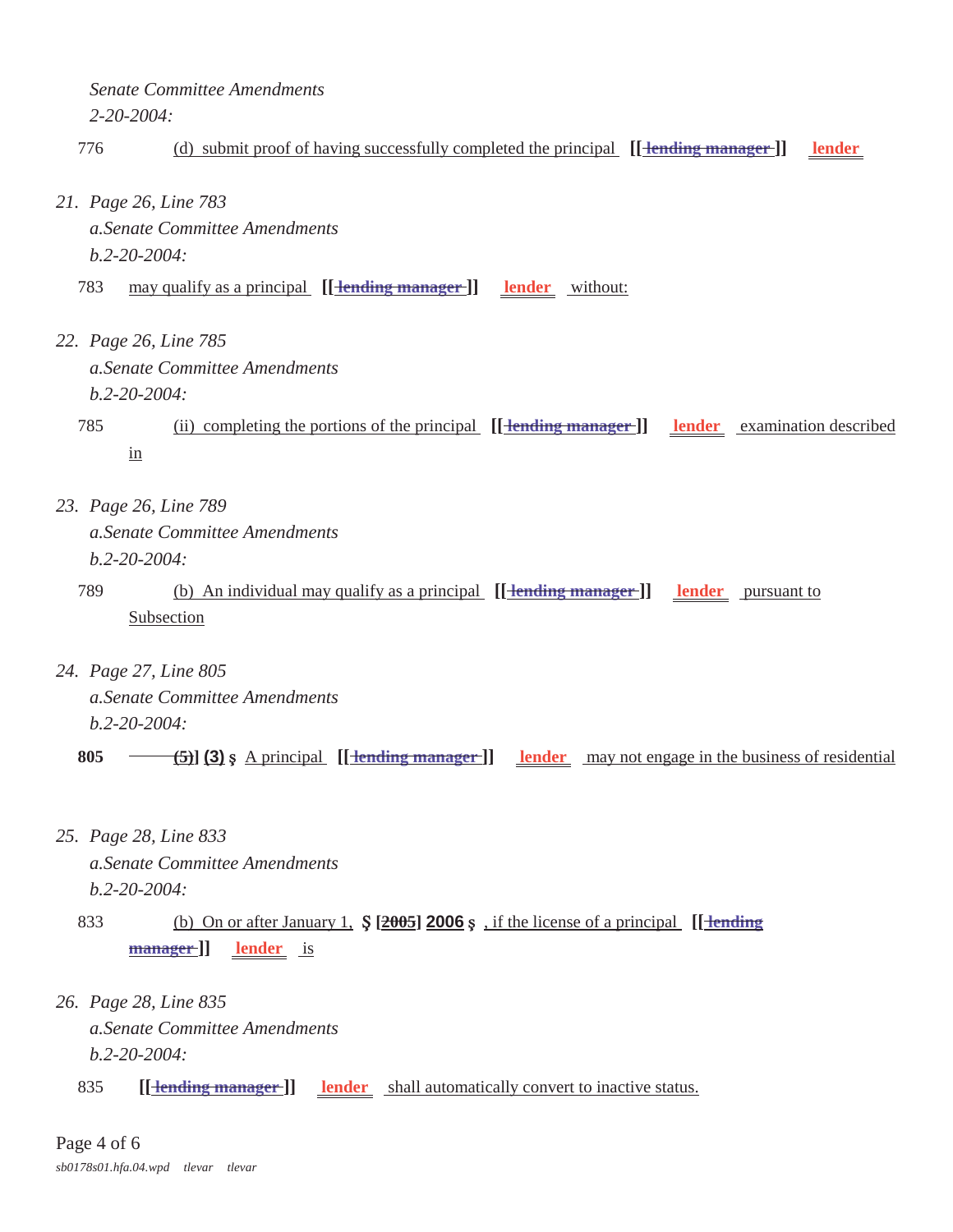*Senate Committee Amendments 2-20-2004:*

## 776 (d) submit proof of having successfully completed the principal [[<del>lending manager]] lender</del>

- *21. Page 26, Line 783 a.Senate Committee Amendments b.2-20-2004:*
	- 783 may qualify as a principal **[[ <del>lending manager</del> ]]** lender without:
- *22. Page 26, Line 785 a.Senate Committee Amendments b.2-20-2004:*
	- 785 (ii) completing the portions of the principal **[[ lending manager ]] lender** examination described in
- *23. Page 26, Line 789 a.Senate Committee Amendments b.2-20-2004:*
	- 789 (b) An individual may qualify as a principal **[[ lending manager ]] lender** pursuant to Subsection
- *24. Page 27, Line 805 a.Senate Committee Amendments b.2-20-2004:*

**805**  $\leftarrow$  **(5) (3)**  $\circ$  A principal  $\left[\left[\frac{\text{tending manager}}{\text{tending manager}}\right]\right]$  lender may not engage in the business of residential

- *25. Page 28, Line 833 a.Senate Committee Amendments b.2-20-2004:*
	- 833 (b) On or after January 1,  $\oint$  [2005] **2006**  $\oint$ , if the license of a principal [[**Hending**] **manager ]] lender** is
- *26. Page 28, Line 835 a.Senate Committee Amendments b.2-20-2004:*
	- 835 **[<del>[ lending manager ]]</del>** lender shall automatically convert to inactive status.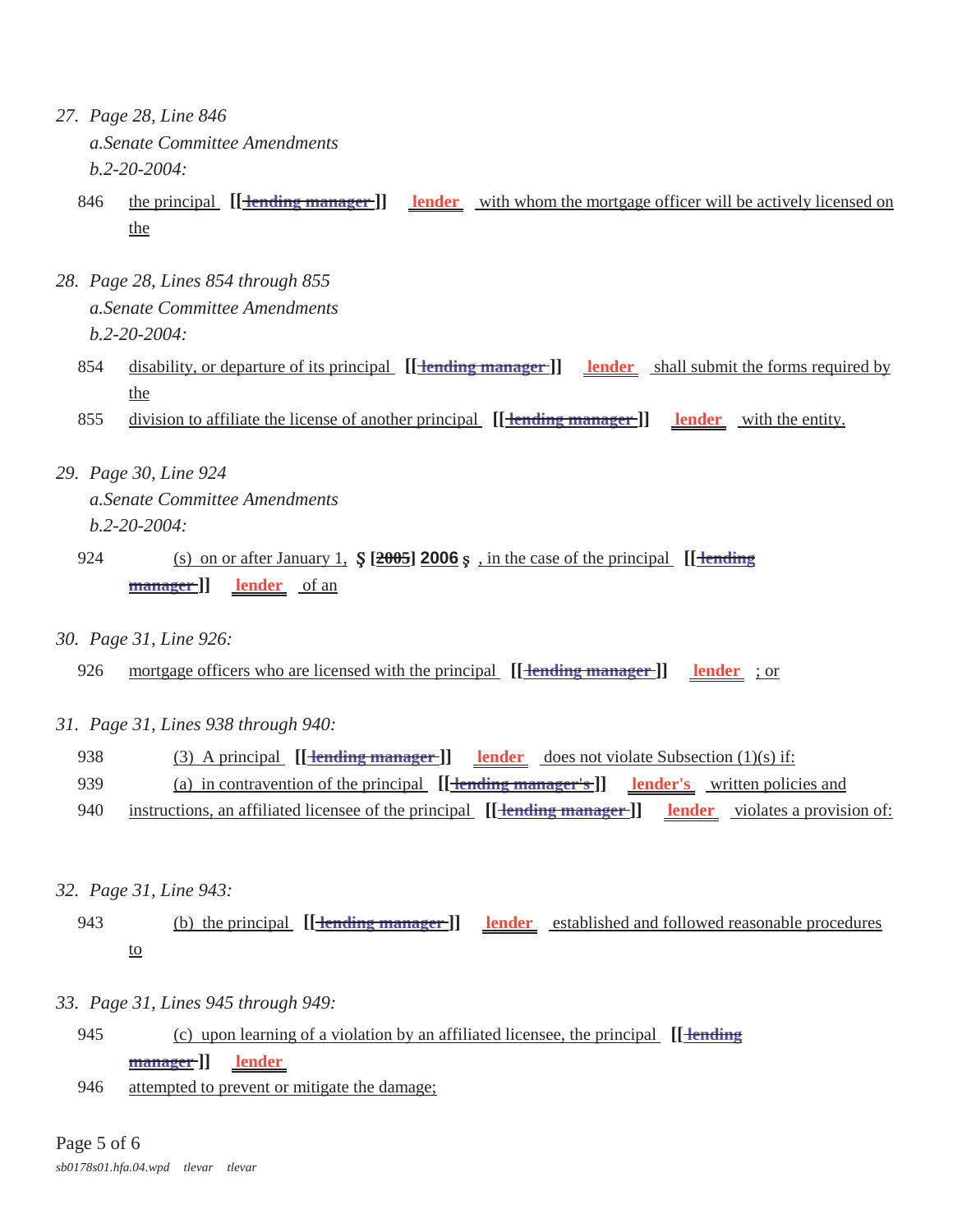- *27. Page 28, Line 846 a.Senate Committee Amendments b.2-20-2004:*
	- 846 the principal  $[\text{Hending manager}]$  lender with whom the mortgage officer will be actively licensed on the
- *28. Page 28, Lines 854 through 855 a.Senate Committee Amendments b.2-20-2004:*
	- 854 disability, or departure of its principal  $[[\text{tending manager}]]$  lender shall submit the forms required by the
	- 855 division to affiliate the license of another principal [[**Hending manager**]] lender with the entity.
- *29. Page 30, Line 924 a.Senate Committee Amendments b.2-20-2004:*
	- 924 (s) on or after January 1, **Ş** [2005] **2006**  $\frac{\epsilon}{2005}$ , in the case of the principal **[[ lending**] **manager ]] lender** of an
- *30. Page 31, Line 926:*
	- 926 mortgage officers who are licensed with the principal [[**Hending manager**]] **lender** ; or
- *31. Page 31, Lines 938 through 940:*
	- 938 (3) A principal  $[\frac{1 \text{ending manager}}{\text{manding manager}}]$  **lender** does not violate Subsection (1)(s) if:
	- 939 (a) in contravention of the principal **[[ lending manager's ]] lender's** written policies and
	- 940 instructions, an affiliated licensee of the principal  $[[\text{fending manager}]]$  lender violates a provision of:
- *32. Page 31, Line 943:*
	- 943 (b) the principal **[[ lending manager ]] lender** established and followed reasonable procedures to
- *33. Page 31, Lines 945 through 949:*
	- 945 (c) upon learning of a violation by an affiliated licensee, the principal **[[ lending manager ]] lender**
	- 946 attempted to prevent or mitigate the damage;